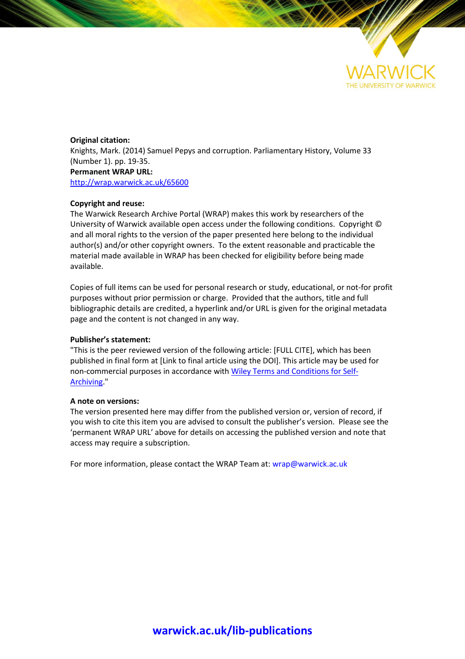

**Original citation:** Knights, Mark. (2014) Samuel Pepys and corruption. Parliamentary History, Volume 33 (Number 1). pp. 19-35. **Permanent WRAP URL:** <http://wrap.warwick.ac.uk/65600>

## **Copyright and reuse:**

The Warwick Research Archive Portal (WRAP) makes this work by researchers of the University of Warwick available open access under the following conditions. Copyright © and all moral rights to the version of the paper presented here belong to the individual author(s) and/or other copyright owners. To the extent reasonable and practicable the material made available in WRAP has been checked for eligibility before being made available.

Copies of full items can be used for personal research or study, educational, or not-for profit purposes without prior permission or charge. Provided that the authors, title and full bibliographic details are credited, a hyperlink and/or URL is given for the original metadata page and the content is not changed in any way.

## **Publisher's statement:**

"This is the peer reviewed version of the following article: [FULL CITE], which has been published in final form at [Link to final article using the DOI]. This article may be used for non-commercial purposes in accordance with Wiley Terms and [Conditions](http://olabout.wiley.com/WileyCDA/Section/id-820227.html#terms) for Self-[Archiving.](http://olabout.wiley.com/WileyCDA/Section/id-820227.html#terms)"

## **A note on versions:**

The version presented here may differ from the published version or, version of record, if you wish to cite this item you are advised to consult the publisher's version. Please see the 'permanent WRAP URL' above for details on accessing the published version and note that access may require a subscription.

For more information, please contact the WRAP Team at[: wrap@warwick.ac.uk](mailto:wrap@warwick.ac.uk)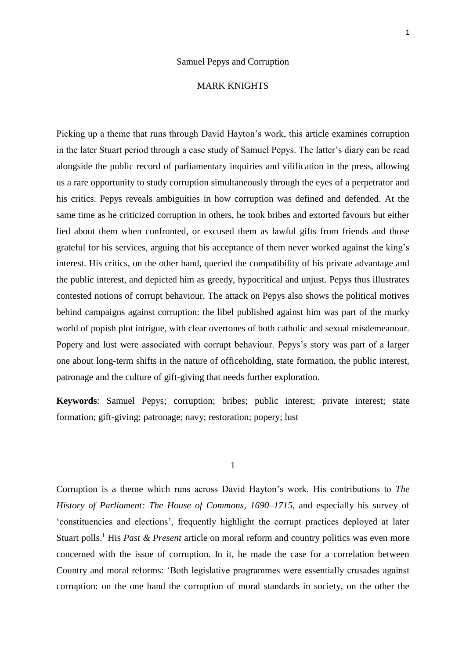## MARK KNIGHTS

Picking up a theme that runs through David Hayton's work, this article examines corruption in the later Stuart period through a case study of Samuel Pepys. The latter's diary can be read alongside the public record of parliamentary inquiries and vilification in the press, allowing us a rare opportunity to study corruption simultaneously through the eyes of a perpetrator and his critics. Pepys reveals ambiguities in how corruption was defined and defended. At the same time as he criticized corruption in others, he took bribes and extorted favours but either lied about them when confronted, or excused them as lawful gifts from friends and those grateful for his services, arguing that his acceptance of them never worked against the king's interest. His critics, on the other hand, queried the compatibility of his private advantage and the public interest, and depicted him as greedy, hypocritical and unjust. Pepys thus illustrates contested notions of corrupt behaviour. The attack on Pepys also shows the political motives behind campaigns against corruption: the libel published against him was part of the murky world of popish plot intrigue, with clear overtones of both catholic and sexual misdemeanour. Popery and lust were associated with corrupt behaviour. Pepys's story was part of a larger one about long-term shifts in the nature of officeholding, state formation, the public interest, patronage and the culture of gift-giving that needs further exploration.

**Keywords**: Samuel Pepys; corruption; bribes; public interest; private interest; state formation; gift-giving; patronage; navy; restoration; popery; lust

1

Corruption is a theme which runs across David Hayton's work. His contributions to *The History of Parliament: The House of Commons, 1690–1715*, and especially his survey of 'constituencies and elections', frequently highlight the corrupt practices deployed at later Stuart polls.<sup>1</sup> His *Past & Present* article on moral reform and country politics was even more concerned with the issue of corruption. In it, he made the case for a correlation between Country and moral reforms: 'Both legislative programmes were essentially crusades against corruption: on the one hand the corruption of moral standards in society, on the other the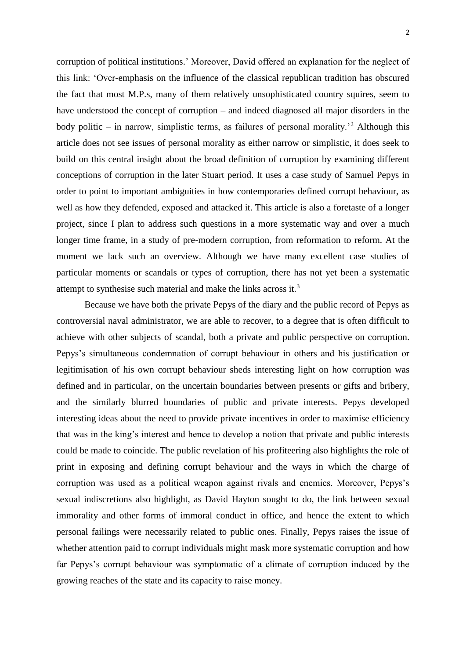corruption of political institutions.' Moreover, David offered an explanation for the neglect of this link: 'Over-emphasis on the influence of the classical republican tradition has obscured the fact that most M.P.s, many of them relatively unsophisticated country squires, seem to have understood the concept of corruption – and indeed diagnosed all major disorders in the body politic – in narrow, simplistic terms, as failures of personal morality.<sup>2</sup> Although this article does not see issues of personal morality as either narrow or simplistic, it does seek to build on this central insight about the broad definition of corruption by examining different conceptions of corruption in the later Stuart period. It uses a case study of Samuel Pepys in order to point to important ambiguities in how contemporaries defined corrupt behaviour, as well as how they defended, exposed and attacked it. This article is also a foretaste of a longer project, since I plan to address such questions in a more systematic way and over a much longer time frame, in a study of pre-modern corruption, from reformation to reform. At the moment we lack such an overview. Although we have many excellent case studies of particular moments or scandals or types of corruption, there has not yet been a systematic attempt to synthesise such material and make the links across it.<sup>3</sup>

Because we have both the private Pepys of the diary and the public record of Pepys as controversial naval administrator, we are able to recover, to a degree that is often difficult to achieve with other subjects of scandal, both a private and public perspective on corruption. Pepys's simultaneous condemnation of corrupt behaviour in others and his justification or legitimisation of his own corrupt behaviour sheds interesting light on how corruption was defined and in particular, on the uncertain boundaries between presents or gifts and bribery, and the similarly blurred boundaries of public and private interests. Pepys developed interesting ideas about the need to provide private incentives in order to maximise efficiency that was in the king's interest and hence to develop a notion that private and public interests could be made to coincide. The public revelation of his profiteering also highlights the role of print in exposing and defining corrupt behaviour and the ways in which the charge of corruption was used as a political weapon against rivals and enemies. Moreover, Pepys's sexual indiscretions also highlight, as David Hayton sought to do, the link between sexual immorality and other forms of immoral conduct in office, and hence the extent to which personal failings were necessarily related to public ones. Finally, Pepys raises the issue of whether attention paid to corrupt individuals might mask more systematic corruption and how far Pepys's corrupt behaviour was symptomatic of a climate of corruption induced by the growing reaches of the state and its capacity to raise money.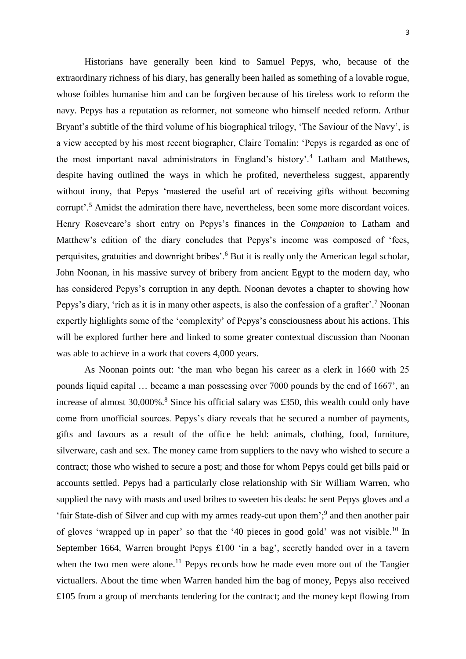Historians have generally been kind to Samuel Pepys, who, because of the extraordinary richness of his diary, has generally been hailed as something of a lovable rogue, whose foibles humanise him and can be forgiven because of his tireless work to reform the navy. Pepys has a reputation as reformer, not someone who himself needed reform. Arthur Bryant's subtitle of the third volume of his biographical trilogy, 'The Saviour of the Navy', is a view accepted by his most recent biographer, Claire Tomalin: 'Pepys is regarded as one of the most important naval administrators in England's history'.<sup>4</sup> Latham and Matthews, despite having outlined the ways in which he profited, nevertheless suggest, apparently without irony, that Pepys 'mastered the useful art of receiving gifts without becoming corrupt'.<sup>5</sup> Amidst the admiration there have, nevertheless, been some more discordant voices. Henry Roseveare's short entry on Pepys's finances in the *Companion* to Latham and Matthew's edition of the diary concludes that Pepys's income was composed of 'fees, perquisites, gratuities and downright bribes'.<sup>6</sup> But it is really only the American legal scholar, John Noonan, in his massive survey of bribery from ancient Egypt to the modern day, who has considered Pepys's corruption in any depth. Noonan devotes a chapter to showing how Pepys's diary, 'rich as it is in many other aspects, is also the confession of a grafter'.<sup>7</sup> Noonan expertly highlights some of the 'complexity' of Pepys's consciousness about his actions. This will be explored further here and linked to some greater contextual discussion than Noonan was able to achieve in a work that covers 4,000 years.

As Noonan points out: 'the man who began his career as a clerk in 1660 with 25 pounds liquid capital … became a man possessing over 7000 pounds by the end of 1667', an increase of almost  $30,000\%$ .<sup>8</sup> Since his official salary was £350, this wealth could only have come from unofficial sources. Pepys's diary reveals that he secured a number of payments, gifts and favours as a result of the office he held: animals, clothing, food, furniture, silverware, cash and sex. The money came from suppliers to the navy who wished to secure a contract; those who wished to secure a post; and those for whom Pepys could get bills paid or accounts settled. Pepys had a particularly close relationship with Sir William Warren, who supplied the navy with masts and used bribes to sweeten his deals: he sent Pepys gloves and a 'fair State-dish of Silver and cup with my armes ready-cut upon them';<sup>9</sup> and then another pair of gloves 'wrapped up in paper' so that the '40 pieces in good gold' was not visible.<sup>10</sup> In September 1664, Warren brought Pepys £100 'in a bag', secretly handed over in a tavern when the two men were alone.<sup>11</sup> Pepys records how he made even more out of the Tangier victuallers. About the time when Warren handed him the bag of money, Pepys also received £105 from a group of merchants tendering for the contract; and the money kept flowing from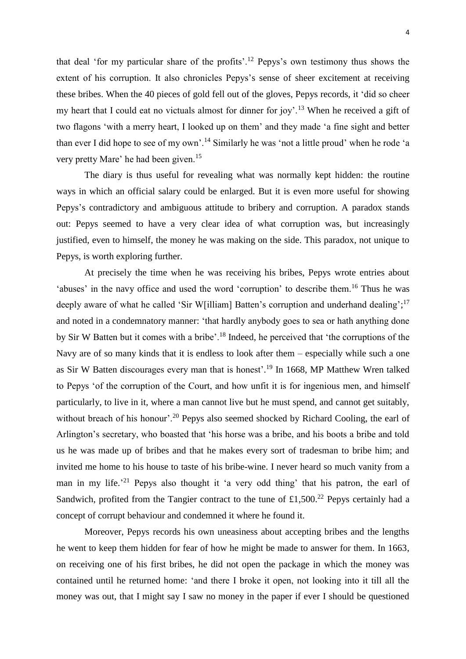that deal 'for my particular share of the profits'.<sup>12</sup> Pepys's own testimony thus shows the extent of his corruption. It also chronicles Pepys's sense of sheer excitement at receiving these bribes. When the 40 pieces of gold fell out of the gloves, Pepys records, it 'did so cheer my heart that I could eat no victuals almost for dinner for joy'.<sup>13</sup> When he received a gift of two flagons 'with a merry heart, I looked up on them' and they made 'a fine sight and better than ever I did hope to see of my own'.<sup>14</sup> Similarly he was 'not a little proud' when he rode 'a very pretty Mare' he had been given.<sup>15</sup>

The diary is thus useful for revealing what was normally kept hidden: the routine ways in which an official salary could be enlarged. But it is even more useful for showing Pepys's contradictory and ambiguous attitude to bribery and corruption. A paradox stands out: Pepys seemed to have a very clear idea of what corruption was, but increasingly justified, even to himself, the money he was making on the side. This paradox, not unique to Pepys, is worth exploring further.

At precisely the time when he was receiving his bribes, Pepys wrote entries about 'abuses' in the navy office and used the word 'corruption' to describe them.<sup>16</sup> Thus he was deeply aware of what he called 'Sir W[illiam] Batten's corruption and underhand dealing';<sup>17</sup> and noted in a condemnatory manner: 'that hardly anybody goes to sea or hath anything done by Sir W Batten but it comes with a bribe'.<sup>18</sup> Indeed, he perceived that 'the corruptions of the Navy are of so many kinds that it is endless to look after them – especially while such a one as Sir W Batten discourages every man that is honest'. <sup>19</sup> In 1668, MP Matthew Wren talked to Pepys 'of the corruption of the Court, and how unfit it is for ingenious men, and himself particularly, to live in it, where a man cannot live but he must spend, and cannot get suitably, without breach of his honour'.<sup>20</sup> Pepys also seemed shocked by Richard Cooling, the earl of Arlington's secretary, who boasted that 'his horse was a bribe, and his boots a bribe and told us he was made up of bribes and that he makes every sort of tradesman to bribe him; and invited me home to his house to taste of his bribe-wine. I never heard so much vanity from a man in my life.<sup>21</sup> Pepys also thought it 'a very odd thing' that his patron, the earl of Sandwich, profited from the Tangier contract to the tune of £1,500.<sup>22</sup> Pepys certainly had a concept of corrupt behaviour and condemned it where he found it.

Moreover, Pepys records his own uneasiness about accepting bribes and the lengths he went to keep them hidden for fear of how he might be made to answer for them. In 1663, on receiving one of his first bribes, he did not open the package in which the money was contained until he returned home: 'and there I broke it open, not looking into it till all the money was out, that I might say I saw no money in the paper if ever I should be questioned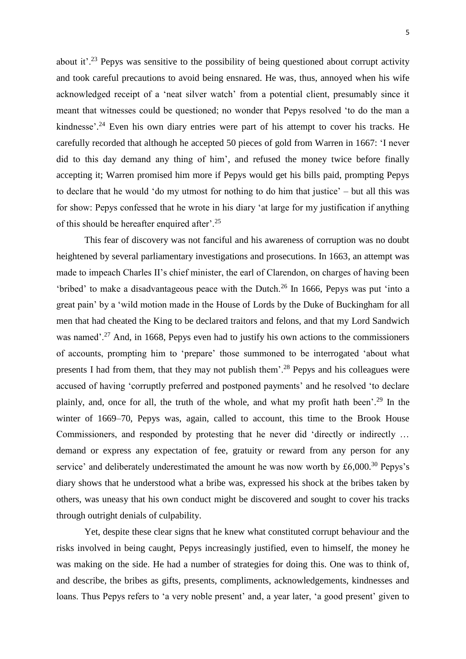about it'.<sup>23</sup> Pepys was sensitive to the possibility of being questioned about corrupt activity and took careful precautions to avoid being ensnared. He was, thus, annoyed when his wife acknowledged receipt of a 'neat silver watch' from a potential client, presumably since it meant that witnesses could be questioned; no wonder that Pepys resolved 'to do the man a kindnesse'.<sup>24</sup> Even his own diary entries were part of his attempt to cover his tracks. He carefully recorded that although he accepted 50 pieces of gold from Warren in 1667: 'I never did to this day demand any thing of him', and refused the money twice before finally accepting it; Warren promised him more if Pepys would get his bills paid, prompting Pepys to declare that he would 'do my utmost for nothing to do him that justice' – but all this was for show: Pepys confessed that he wrote in his diary 'at large for my justification if anything of this should be hereafter enquired after'.<sup>25</sup>

This fear of discovery was not fanciful and his awareness of corruption was no doubt heightened by several parliamentary investigations and prosecutions. In 1663, an attempt was made to impeach Charles II's chief minister, the earl of Clarendon, on charges of having been 'bribed' to make a disadvantageous peace with the Dutch.<sup>26</sup> In 1666, Pepys was put 'into a great pain' by a 'wild motion made in the [House of Lords](http://www.pepysdiary.com/p/293.php) by the [Duke of Buckingham](http://www.pepysdiary.com/p/2558.php) for all men that had cheated the King to be declared traitors and felons, and that my [Lord Sandwich](http://www.pepysdiary.com/p/112.php) was named'.<sup>27</sup> And, in 1668, Pepys even had to justify his own actions to the commissioners of accounts, prompting him to 'prepare' those summoned to be interrogated 'about what presents I had from them, that they may not publish them'.<sup>28</sup> Pepys and his colleagues were accused of having 'corruptly preferred and postponed payments' and he resolved 'to declare plainly, and, once for all, the truth of the whole, and what my profit hath been'.<sup>29</sup> In the winter of 1669–70, Pepys was, again, called to account, this time to the Brook House Commissioners, and responded by protesting that he never did 'directly or indirectly … demand or express any expectation of fee, gratuity or reward from any person for any service' and deliberately underestimated the amount he was now worth by  $\text{\pounds}6,000$ .<sup>30</sup> Pepys's diary shows that he understood what a bribe was, expressed his shock at the bribes taken by others, was uneasy that his own conduct might be discovered and sought to cover his tracks through outright denials of culpability.

Yet, despite these clear signs that he knew what constituted corrupt behaviour and the risks involved in being caught, Pepys increasingly justified, even to himself, the money he was making on the side. He had a number of strategies for doing this. One was to think of, and describe, the bribes as gifts, presents, compliments, acknowledgements, kindnesses and loans. Thus Pepys refers to 'a very noble present' and, a year later, 'a good present' given to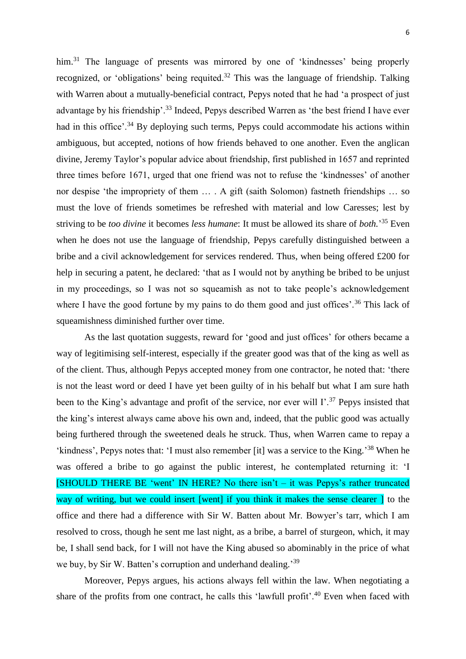him.<sup>31</sup> The language of presents was mirrored by one of 'kindnesses' being properly recognized, or 'obligations' being requited.<sup>32</sup> This was the language of friendship. Talking with Warren about a mutually-beneficial contract, Pepys noted that he had 'a prospect of just advantage by his friendship'.<sup>33</sup> Indeed, Pepys described Warren as 'the best friend I have ever had in this office'.<sup>34</sup> By deploying such terms, Pepys could accommodate his actions within ambiguous, but accepted, notions of how friends behaved to one another. Even the anglican divine, Jeremy Taylor's popular advice about friendship, first published in 1657 and reprinted three times before 1671, urged that one friend was not to refuse the 'kindnesses' of another nor despise 'the impropriety of them … . A gift (saith Solomon) fastneth friendships … so must the love of friends sometimes be refreshed with material and low Caresses; lest by striving to be *too divine* it becomes *less humane*: It must be allowed its share of *both.*' <sup>35</sup> Even when he does not use the language of friendship, Pepys carefully distinguished between a bribe and a civil acknowledgement for services rendered. Thus, when being offered £200 for help in securing a patent, he declared: 'that as I would not by anything be bribed to be unjust in my proceedings, so I was not so squeamish as not to take people's acknowledgement where I have the good fortune by my pains to do them good and just offices'.<sup>36</sup> This lack of squeamishness diminished further over time.

As the last quotation suggests, reward for 'good and just offices' for others became a way of legitimising self-interest, especially if the greater good was that of the king as well as of the client. Thus, although Pepys accepted money from one contractor, he noted that: 'there is not the least word or deed I have yet been guilty of in his behalf but what I am sure hath been to the King's advantage and profit of the service, nor ever will I'.<sup>37</sup> Pepys insisted that the king's interest always came above his own and, indeed, that the public good was actually being furthered through the sweetened deals he struck. Thus, when Warren came to repay a 'kindness', Pepys notes that: 'I must also remember [it] was a service to the King.'<sup>38</sup> When he was offered a bribe to go against the public interest, he contemplated returning it: 'I [SHOULD THERE BE 'went' IN HERE? No there isn't  $-$  it was Pepys's rather truncated way of writing, but we could insert [went] if you think it makes the sense clearer 1 to the office and there had a difference with [Sir W. Batten](http://www.pepysdiary.com/p/852.php) about [Mr. Bowyer's t](http://www.pepysdiary.com/p/6373.php)arr, which I am resolved to cross, though he sent me last night, as a bribe, a barrel of [sturgeon,](http://www.pepysdiary.com/p/1150.php) which, it may be, I shall send back, for I will not have [the King](http://www.pepysdiary.com/p/344.php) abused so abominably in the price of what we buy, by Sir W. Batten's corruption and underhand dealing.'39

Moreover, Pepys argues, his actions always fell within the law. When negotiating a share of the profits from one contract, he calls this 'lawfull profit'.<sup>40</sup> Even when faced with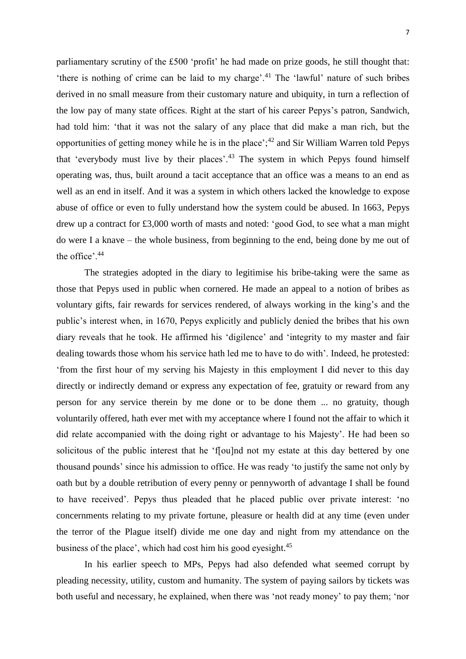parliamentary scrutiny of the £500 'profit' he had made on prize goods, he still thought that: 'there is nothing of crime can be laid to my charge'.<sup>41</sup> The 'lawful' nature of such bribes derived in no small measure from their customary nature and ubiquity, in turn a reflection of the low pay of many state offices. Right at the start of his career Pepys's patron, Sandwich, had told him: 'that it was not the salary of any place that did make a man rich, but the opportunities of getting money while he is in the place'; $42$  and Sir William Warren told Pepys that 'everybody must live by their places'.<sup>43</sup> The system in which Pepys found himself operating was, thus, built around a tacit acceptance that an office was a means to an end as well as an end in itself. And it was a system in which others lacked the knowledge to expose abuse of office or even to fully understand how the system could be abused. In 1663, Pepys drew up a contract for £3,000 worth of masts and noted: 'good God, to see what a man might do were I a knave – the whole business, from beginning to the end, being done by me out of the office'.<sup>44</sup>

The strategies adopted in the diary to legitimise his bribe-taking were the same as those that Pepys used in public when cornered. He made an appeal to a notion of bribes as voluntary gifts, fair rewards for services rendered, of always working in the king's and the public's interest when, in 1670, Pepys explicitly and publicly denied the bribes that his own diary reveals that he took. He affirmed his 'digilence' and 'integrity to my master and fair dealing towards those whom his service hath led me to have to do with'. Indeed, he protested: 'from the first hour of my serving his Majesty in this employment I did never to this day directly or indirectly demand or express any expectation of fee, gratuity or reward from any person for any service therein by me done or to be done them ... no gratuity, though voluntarily offered, hath ever met with my acceptance where I found not the affair to which it did relate accompanied with the doing right or advantage to his Majesty'. He had been so solicitous of the public interest that he 'f[ou]nd not my estate at this day bettered by one thousand pounds' since his admission to office. He was ready 'to justify the same not only by oath but by a double retribution of every penny or pennyworth of advantage I shall be found to have received'. Pepys thus pleaded that he placed public over private interest: 'no concernments relating to my private fortune, pleasure or health did at any time (even under the terror of the Plague itself) divide me one day and night from my attendance on the business of the place', which had cost him his good eyesight.<sup>45</sup>

In his earlier speech to MPs, Pepys had also defended what seemed corrupt by pleading necessity, utility, custom and humanity. The system of paying sailors by tickets was both useful and necessary, he explained, when there was 'not ready money' to pay them; 'nor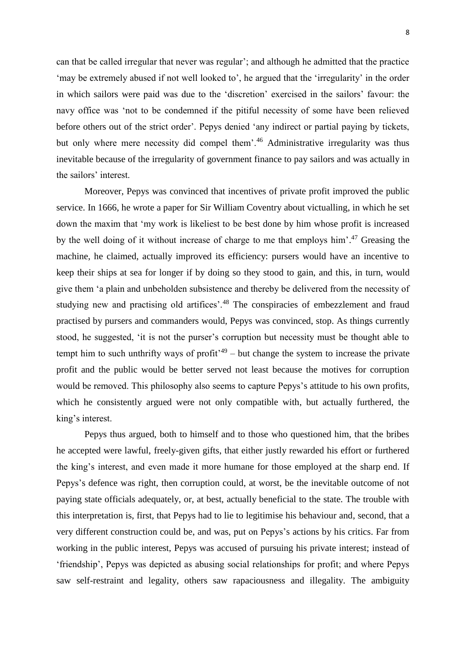can that be called irregular that never was regular'; and although he admitted that the practice 'may be extremely abused if not well looked to', he argued that the 'irregularity' in the order in which sailors were paid was due to the 'discretion' exercised in the sailors' favour: the navy office was 'not to be condemned if the pitiful necessity of some have been relieved before others out of the strict order'. Pepys denied 'any indirect or partial paying by tickets, but only where mere necessity did compel them'.<sup>46</sup> Administrative irregularity was thus inevitable because of the irregularity of government finance to pay sailors and was actually in the sailors' interest.

Moreover, Pepys was convinced that incentives of private profit improved the public service. In 1666, he wrote a paper for Sir William Coventry about victualling, in which he set down the maxim that 'my work is likeliest to be best done by him whose profit is increased by the well doing of it without increase of charge to me that employs him'. <sup>47</sup> Greasing the machine, he claimed, actually improved its efficiency: pursers would have an incentive to keep their ships at sea for longer if by doing so they stood to gain, and this, in turn, would give them 'a plain and unbeholden subsistence and thereby be delivered from the necessity of studying new and practising old artifices'.<sup>48</sup> The conspiracies of embezzlement and fraud practised by pursers and commanders would, Pepys was convinced, stop. As things currently stood, he suggested, 'it is not the purser's corruption but necessity must be thought able to tempt him to such unthrifty ways of profit<sup> $49$ </sup> – but change the system to increase the private profit and the public would be better served not least because the motives for corruption would be removed. This philosophy also seems to capture Pepys's attitude to his own profits, which he consistently argued were not only compatible with, but actually furthered, the king's interest.

Pepys thus argued, both to himself and to those who questioned him, that the bribes he accepted were lawful, freely-given gifts, that either justly rewarded his effort or furthered the king's interest, and even made it more humane for those employed at the sharp end. If Pepys's defence was right, then corruption could, at worst, be the inevitable outcome of not paying state officials adequately, or, at best, actually beneficial to the state. The trouble with this interpretation is, first, that Pepys had to lie to legitimise his behaviour and, second, that a very different construction could be, and was, put on Pepys's actions by his critics. Far from working in the public interest, Pepys was accused of pursuing his private interest; instead of 'friendship', Pepys was depicted as abusing social relationships for profit; and where Pepys saw self-restraint and legality, others saw rapaciousness and illegality. The ambiguity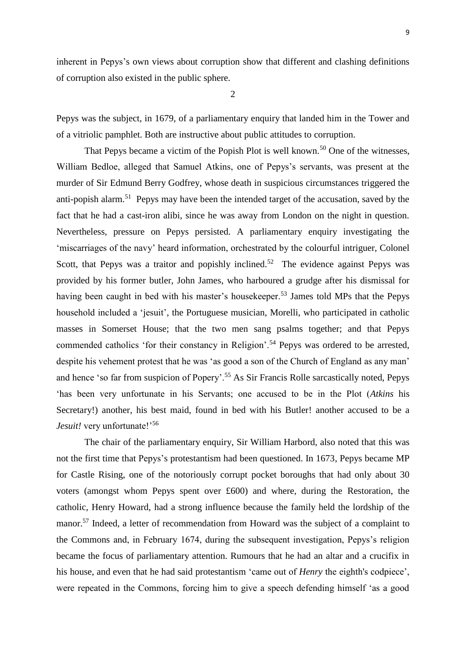inherent in Pepys's own views about corruption show that different and clashing definitions of corruption also existed in the public sphere.

2

Pepys was the subject, in 1679, of a parliamentary enquiry that landed him in the Tower and of a vitriolic pamphlet. Both are instructive about public attitudes to corruption.

That Pepys became a victim of the Popish Plot is well known.<sup>50</sup> One of the witnesses, William Bedloe, alleged that Samuel Atkins, one of Pepys's servants, was present at the murder of Sir Edmund Berry Godfrey, whose death in suspicious circumstances triggered the anti-popish alarm.<sup>51</sup> Pepys may have been the intended target of the accusation, saved by the fact that he had a cast-iron alibi, since he was away from London on the night in question. Nevertheless, pressure on Pepys persisted. A parliamentary enquiry investigating the 'miscarriages of the navy' heard information, orchestrated by the colourful intriguer, Colonel Scott, that Pepys was a traitor and popishly inclined.<sup>52</sup> The evidence against Pepys was provided by his former butler, John James, who harboured a grudge after his dismissal for having been caught in bed with his master's housekeeper.<sup>53</sup> James told MPs that the Pepys household included a 'jesuit', the Portuguese musician, Morelli, who participated in catholic masses in Somerset House; that the two men sang psalms together; and that Pepys commended catholics 'for their constancy in Religion'.<sup>54</sup> Pepys was ordered to be arrested, despite his vehement protest that he was 'as good a son of the Church of England as any man' and hence 'so far from suspicion of Popery'.<sup>55</sup> As Sir Francis Rolle sarcastically noted, Pepys 'has been very unfortunate in his Servants; one accused to be in the Plot (*Atkins* his Secretary!) another, his best maid, found in bed with his Butler! another accused to be a *Jesuit!* very unfortunate!'<sup>56</sup>

The chair of the parliamentary enquiry, Sir William Harbord, also noted that this was not the first time that Pepys's protestantism had been questioned. In 1673, Pepys became MP for Castle Rising, one of the notoriously corrupt pocket boroughs that had only about 30 voters (amongst whom Pepys spent over £600) and where, during the Restoration, the catholic, Henry Howard, had a strong influence because the family held the lordship of the manor.<sup>57</sup> Indeed, a letter of recommendation from Howard was the subject of a complaint to the Commons and, in February 1674, during the subsequent investigation, Pepys's religion became the focus of parliamentary attention. Rumours that he had an altar and a crucifix in his house, and even that he had said protestantism 'came out of *Henry* the eighth's codpiece', were repeated in the Commons, forcing him to give a speech defending himself 'as a good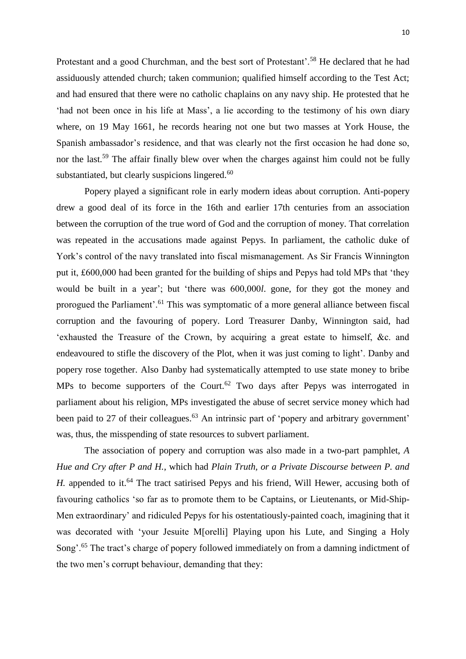Protestant and a good Churchman, and the best sort of Protestant'.<sup>58</sup> He declared that he had assiduously attended church; taken communion; qualified himself according to the Test Act; and had ensured that there were no catholic chaplains on any navy ship. He protested that he 'had not been once in his life at Mass', a lie according to the testimony of his own diary where, on 19 May 1661, he records hearing not one but two masses at York House, the Spanish ambassador's residence, and that was clearly not the first occasion he had done so, nor the last.<sup>59</sup> The affair finally blew over when the charges against him could not be fully substantiated, but clearly suspicions lingered. $60$ 

Popery played a significant role in early modern ideas about corruption. Anti-popery drew a good deal of its force in the 16th and earlier 17th centuries from an association between the corruption of the true word of God and the corruption of money. That correlation was repeated in the accusations made against Pepys. In parliament, the catholic duke of York's control of the navy translated into fiscal mismanagement. As Sir Francis Winnington put it, £600,000 had been granted for the building of ships and Pepys had told MPs that 'they would be built in a year'; but 'there was 600,000*l*. gone, for they got the money and prorogued the Parliament'.<sup>61</sup> This was symptomatic of a more general alliance between fiscal corruption and the favouring of popery. Lord Treasurer Danby, Winnington said, had 'exhausted the Treasure of the Crown, by acquiring a great estate to himself, &c. and endeavoured to stifle the discovery of the Plot, when it was just coming to light'. Danby and popery rose together. Also Danby had systematically attempted to use state money to bribe MPs to become supporters of the Court.<sup>62</sup> Two days after Pepys was interrogated in parliament about his religion, MPs investigated the abuse of secret service money which had been paid to 27 of their colleagues.<sup>63</sup> An intrinsic part of 'popery and arbitrary government' was, thus, the misspending of state resources to subvert parliament.

The association of popery and corruption was also made in a two-part pamphlet, *A Hue and Cry after P and H.*, which had *Plain Truth, or a Private Discourse between P. and H.* appended to it.<sup>64</sup> The tract satirised Pepys and his friend, Will Hewer, accusing both of favouring catholics 'so far as to promote them to be Captains, or Lieutenants, or Mid-Ship-Men extraordinary' and ridiculed Pepys for his ostentatiously-painted coach, imagining that it was decorated with 'your Jesuite M[orelli] Playing upon his Lute, and Singing a Holy Song'.<sup>65</sup> The tract's charge of popery followed immediately on from a damning indictment of the two men's corrupt behaviour, demanding that they: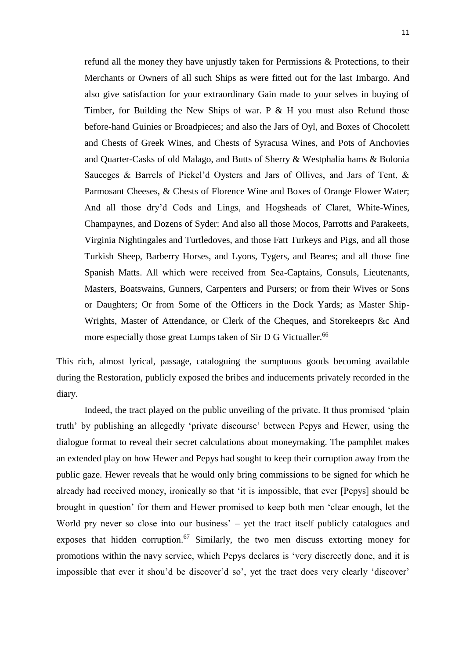refund all the money they have unjustly taken for Permissions & Protections, to their Merchants or Owners of all such Ships as were fitted out for the last Imbargo. And also give satisfaction for your extraordinary Gain made to your selves in buying of Timber, for Building the New Ships of war. P & H you must also Refund those before-hand Guinies or Broadpieces; and also the Jars of Oyl, and Boxes of Chocolett and Chests of Greek Wines, and Chests of Syracusa Wines, and Pots of Anchovies and Quarter-Casks of old Malago, and Butts of Sherry & Westphalia hams & Bolonia Sauceges & Barrels of Pickel'd Oysters and Jars of Ollives, and Jars of Tent, & Parmosant Cheeses, & Chests of Florence Wine and Boxes of Orange Flower Water; And all those dry'd Cods and Lings, and Hogsheads of Claret, White-Wines, Champaynes, and Dozens of Syder: And also all those Mocos, Parrotts and Parakeets, Virginia Nightingales and Turtledoves, and those Fatt Turkeys and Pigs, and all those Turkish Sheep, Barberry Horses, and Lyons, Tygers, and Beares; and all those fine Spanish Matts. All which were received from Sea-Captains, Consuls, Lieutenants, Masters, Boatswains, Gunners, Carpenters and Pursers; or from their Wives or Sons or Daughters; Or from Some of the Officers in the Dock Yards; as Master Ship-Wrights, Master of Attendance, or Clerk of the Cheques, and Storekeeprs &c And more especially those great Lumps taken of Sir D G Victualler.<sup>66</sup>

This rich, almost lyrical, passage, cataloguing the sumptuous goods becoming available during the Restoration, publicly exposed the bribes and inducements privately recorded in the diary.

Indeed, the tract played on the public unveiling of the private. It thus promised 'plain truth' by publishing an allegedly 'private discourse' between Pepys and Hewer, using the dialogue format to reveal their secret calculations about moneymaking. The pamphlet makes an extended play on how Hewer and Pepys had sought to keep their corruption away from the public gaze. Hewer reveals that he would only bring commissions to be signed for which he already had received money, ironically so that 'it is impossible, that ever [Pepys] should be brought in question' for them and Hewer promised to keep both men 'clear enough, let the World pry never so close into our business' – yet the tract itself publicly catalogues and exposes that hidden corruption.<sup>67</sup> Similarly, the two men discuss extorting money for promotions within the navy service, which Pepys declares is 'very discreetly done, and it is impossible that ever it shou'd be discover'd so', yet the tract does very clearly 'discover'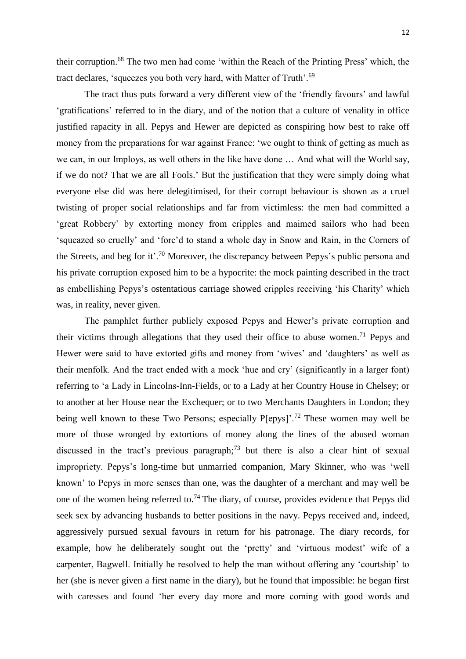their corruption.<sup>68</sup> The two men had come 'within the Reach of the Printing Press' which, the tract declares, 'squeezes you both very hard, with Matter of Truth'.<sup>69</sup>

The tract thus puts forward a very different view of the 'friendly favours' and lawful 'gratifications' referred to in the diary, and of the notion that a culture of venality in office justified rapacity in all. Pepys and Hewer are depicted as conspiring how best to rake off money from the preparations for war against France: 'we ought to think of getting as much as we can, in our Imploys, as well others in the like have done … And what will the World say, if we do not? That we are all Fools.' But the justification that they were simply doing what everyone else did was here delegitimised, for their corrupt behaviour is shown as a cruel twisting of proper social relationships and far from victimless: the men had committed a 'great Robbery' by extorting money from cripples and maimed sailors who had been 'squeazed so cruelly' and 'forc'd to stand a whole day in Snow and Rain, in the Corners of the Streets, and beg for it'.<sup>70</sup> Moreover, the discrepancy between Pepys's public persona and his private corruption exposed him to be a hypocrite: the mock painting described in the tract as embellishing Pepys's ostentatious carriage showed cripples receiving 'his Charity' which was, in reality, never given.

The pamphlet further publicly exposed Pepys and Hewer's private corruption and their victims through allegations that they used their office to abuse women.<sup>71</sup> Pepys and Hewer were said to have extorted gifts and money from 'wives' and 'daughters' as well as their menfolk. And the tract ended with a mock 'hue and cry' (significantly in a larger font) referring to 'a Lady in Lincolns-Inn-Fields, or to a Lady at her Country House in Chelsey; or to another at her House near the Exchequer; or to two Merchants Daughters in London; they being well known to these Two Persons; especially P[epys]<sup>' 72</sup> These women may well be more of those wronged by extortions of money along the lines of the abused woman discussed in the tract's previous paragraph;<sup>73</sup> but there is also a clear hint of sexual impropriety. Pepys's long-time but unmarried companion, Mary Skinner, who was 'well known' to Pepys in more senses than one, was the daughter of a merchant and may well be one of the women being referred to.<sup>74</sup> The diary, of course, provides evidence that Pepys did seek sex by advancing husbands to better positions in the navy. Pepys received and, indeed, aggressively pursued sexual favours in return for his patronage. The diary records, for example, how he deliberately sought out the 'pretty' and 'virtuous modest' wife of a carpenter, Bagwell. Initially he resolved to help the man without offering any 'courtship' to her (she is never given a first name in the diary), but he found that impossible: he began first with caresses and found 'her every day more and more coming with good words and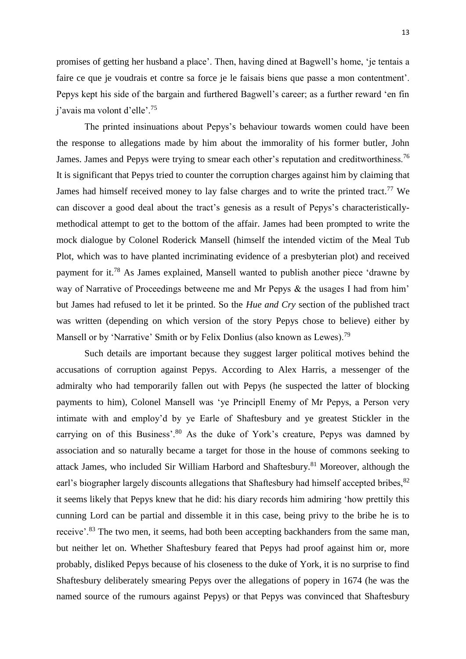promises of getting [her husband](http://www.pepysdiary.com/p/6479.php) a place'. Then, having dined at Bagwell's home, 'je tentais a faire ce que je voudrais et contre sa force je le faisais biens que passe a mon contentment'. Pepys kept his side of the bargain and furthered Bagwell's career; as a further reward 'en fin j'avais ma volont d'elle'.<sup>75</sup>

The printed insinuations about Pepys's behaviour towards women could have been the response to allegations made by him about the immorality of his former butler, John James. James and Pepys were trying to smear each other's reputation and creditworthiness.<sup>76</sup> It is significant that Pepys tried to counter the corruption charges against him by claiming that James had himself received money to lay false charges and to write the printed tract.<sup>77</sup> We can discover a good deal about the tract's genesis as a result of Pepys's characteristicallymethodical attempt to get to the bottom of the affair. James had been prompted to write the mock dialogue by Colonel Roderick Mansell (himself the intended victim of the Meal Tub Plot, which was to have planted incriminating evidence of a presbyterian plot) and received payment for it.<sup>78</sup> As James explained, Mansell wanted to publish another piece 'drawne by way of Narrative of Proceedings betweene me and Mr Pepys & the usages I had from him' but James had refused to let it be printed. So the *Hue and Cry* section of the published tract was written (depending on which version of the story Pepys chose to believe) either by Mansell or by 'Narrative' Smith or by Felix Donlius (also known as Lewes).<sup>79</sup>

Such details are important because they suggest larger political motives behind the accusations of corruption against Pepys. According to Alex Harris, a messenger of the admiralty who had temporarily fallen out with Pepys (he suspected the latter of blocking payments to him), Colonel Mansell was 'ye Principll Enemy of Mr Pepys, a Person very intimate with and employ'd by ye Earle of Shaftesbury and ye greatest Stickler in the carrying on of this Business'.<sup>80</sup> As the duke of York's creature, Pepys was damned by association and so naturally became a target for those in the house of commons seeking to attack James, who included Sir William Harbord and Shaftesbury.<sup>81</sup> Moreover, although the earl's biographer largely discounts allegations that Shaftesbury had himself accepted bribes, <sup>82</sup> it seems likely that Pepys knew that he did: his diary records him admiring 'how prettily this cunning Lord can be partial and dissemble it in this case, being privy to the bribe he is to receive'.<sup>83</sup> The two men, it seems, had both been accepting backhanders from the same man, but neither let on. Whether Shaftesbury feared that Pepys had proof against him or, more probably, disliked Pepys because of his closeness to the duke of York, it is no surprise to find Shaftesbury deliberately smearing Pepys over the allegations of popery in 1674 (he was the named source of the rumours against Pepys) or that Pepys was convinced that Shaftesbury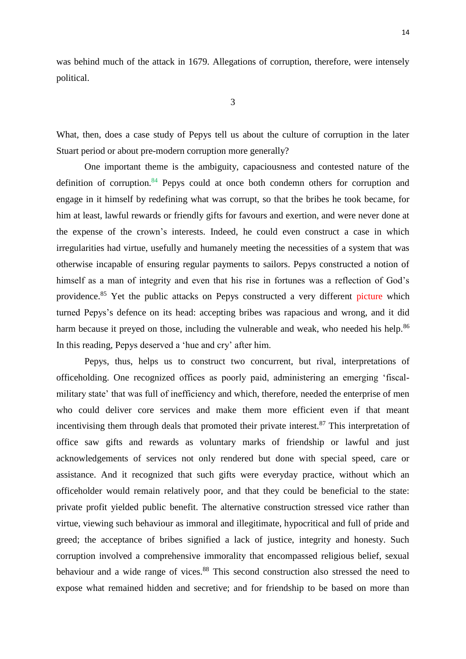was behind much of the attack in 1679. Allegations of corruption, therefore, were intensely political.

What, then, does a case study of Pepys tell us about the culture of corruption in the later Stuart period or about pre-modern corruption more generally?

One important theme is the ambiguity, capaciousness and contested nature of the definition of corruption. $84$  Pepys could at once both condemn others for corruption and engage in it himself by redefining what was corrupt, so that the bribes he took became, for him at least, lawful rewards or friendly gifts for favours and exertion, and were never done at the expense of the crown's interests. Indeed, he could even construct a case in which irregularities had virtue, usefully and humanely meeting the necessities of a system that was otherwise incapable of ensuring regular payments to sailors. Pepys constructed a notion of himself as a man of integrity and even that his rise in fortunes was a reflection of God's providence.<sup>85</sup> Yet the public attacks on Pepys constructed a very different picture which turned Pepys's defence on its head: accepting bribes was rapacious and wrong, and it did harm because it preyed on those, including the vulnerable and weak, who needed his help.<sup>86</sup> In this reading, Pepys deserved a 'hue and cry' after him.

Pepys, thus, helps us to construct two concurrent, but rival, interpretations of officeholding. One recognized offices as poorly paid, administering an emerging 'fiscalmilitary state' that was full of inefficiency and which, therefore, needed the enterprise of men who could deliver core services and make them more efficient even if that meant incentivising them through deals that promoted their private interest.<sup>87</sup> This interpretation of office saw gifts and rewards as voluntary marks of friendship or lawful and just acknowledgements of services not only rendered but done with special speed, care or assistance. And it recognized that such gifts were everyday practice, without which an officeholder would remain relatively poor, and that they could be beneficial to the state: private profit yielded public benefit. The alternative construction stressed vice rather than virtue, viewing such behaviour as immoral and illegitimate, hypocritical and full of pride and greed; the acceptance of bribes signified a lack of justice, integrity and honesty. Such corruption involved a comprehensive immorality that encompassed religious belief, sexual behaviour and a wide range of vices.<sup>88</sup> This second construction also stressed the need to expose what remained hidden and secretive; and for friendship to be based on more than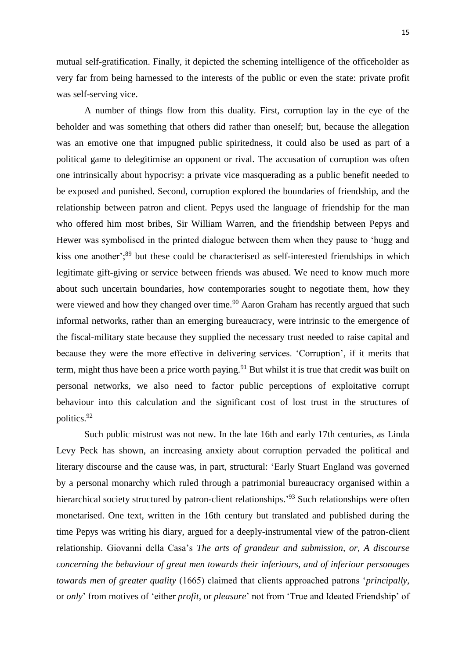mutual self-gratification. Finally, it depicted the scheming intelligence of the officeholder as very far from being harnessed to the interests of the public or even the state: private profit was self-serving vice.

A number of things flow from this duality. First, corruption lay in the eye of the beholder and was something that others did rather than oneself; but, because the allegation was an emotive one that impugned public spiritedness, it could also be used as part of a political game to delegitimise an opponent or rival. The accusation of corruption was often one intrinsically about hypocrisy: a private vice masquerading as a public benefit needed to be exposed and punished. Second, corruption explored the boundaries of friendship, and the relationship between patron and client. Pepys used the language of friendship for the man who offered him most bribes, Sir William Warren, and the friendship between Pepys and Hewer was symbolised in the printed dialogue between them when they pause to 'hugg and kiss one another';<sup>89</sup> but these could be characterised as self-interested friendships in which legitimate gift-giving or service between friends was abused. We need to know much more about such uncertain boundaries, how contemporaries sought to negotiate them, how they were viewed and how they changed over time.<sup>90</sup> Aaron Graham has recently argued that such informal networks, rather than an emerging bureaucracy, were intrinsic to the emergence of the fiscal-military state because they supplied the necessary trust needed to raise capital and because they were the more effective in delivering services. 'Corruption', if it merits that term, might thus have been a price worth paying.<sup>91</sup> But whilst it is true that credit was built on personal networks, we also need to factor public perceptions of exploitative corrupt behaviour into this calculation and the significant cost of lost trust in the structures of politics.<sup>92</sup>

Such public mistrust was not new. In the late 16th and early 17th centuries, as Linda Levy Peck has shown, an increasing anxiety about corruption pervaded the political and literary discourse and the cause was, in part, structural: 'Early Stuart England was governed by a personal monarchy which ruled through a patrimonial bureaucracy organised within a hierarchical society structured by patron-client relationships.<sup>'93</sup> Such relationships were often monetarised. One text, written in the 16th century but translated and published during the time Pepys was writing his diary, argued for a deeply-instrumental view of the patron-client relationship. Giovanni della Casa's *The arts of grandeur and submission, or, A discourse concerning the behaviour of great men towards their inferiours, and of inferiour personages towards men of greater quality* (1665) claimed that clients approached patrons '*principally*, or *only*' from motives of 'either *profit*, or *pleasure*' not from 'True and Ideated Friendship' of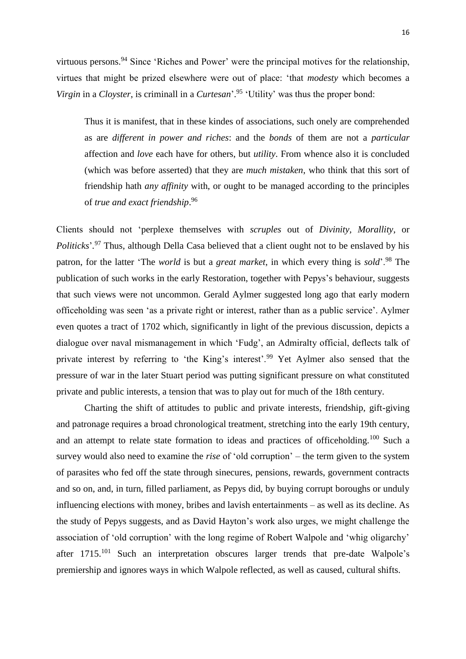virtuous persons.<sup>94</sup> Since 'Riches and Power' were the principal motives for the relationship, virtues that might be prized elsewhere were out of place: 'that *modesty* which becomes a *Virgin* in a *Cloyster*, is criminall in a *Curtesan*'. <sup>95</sup> 'Utility' was thus the proper bond:

Thus it is manifest, that in these kindes of associations, such onely are comprehended as are *different in power and riches*: and the *bonds* of them are not a *particular* affection and *love* each have for others, but *utility*. From whence also it is concluded (which was before asserted) that they are *much mistaken*, who think that this sort of friendship hath *any affinity* with, or ought to be managed according to the principles of *true and exact friendship*. 96

Clients should not 'perplexe themselves with *scruples* out of *Divinity, Morallity*, or *Politicks*'*.* <sup>97</sup> Thus, although Della Casa believed that a client ought not to be enslaved by his patron, for the latter 'The *world* is but a *great market*, in which every thing is *sold*'.<sup>98</sup> The publication of such works in the early Restoration, together with Pepys's behaviour, suggests that such views were not uncommon. Gerald Aylmer suggested long ago that early modern officeholding was seen 'as a private right or interest, rather than as a public service'. Aylmer even quotes a tract of 1702 which, significantly in light of the previous discussion, depicts a dialogue over naval mismanagement in which 'Fudg', an Admiralty official, deflects talk of private interest by referring to 'the King's interest'.<sup>99</sup> Yet Aylmer also sensed that the pressure of war in the later Stuart period was putting significant pressure on what constituted private and public interests, a tension that was to play out for much of the 18th century.

Charting the shift of attitudes to public and private interests, friendship, gift-giving and patronage requires a broad chronological treatment, stretching into the early 19th century, and an attempt to relate state formation to ideas and practices of officeholding.<sup>100</sup> Such a survey would also need to examine the *rise* of 'old corruption' – the term given to the system of parasites who fed off the state through sinecures, pensions, rewards, government contracts and so on, and, in turn, filled parliament, as Pepys did, by buying corrupt boroughs or unduly influencing elections with money, bribes and lavish entertainments – as well as its decline. As the study of Pepys suggests, and as David Hayton's work also urges, we might challenge the association of 'old corruption' with the long regime of Robert Walpole and 'whig oligarchy' after 1715.<sup>101</sup> Such an interpretation obscures larger trends that pre-date Walpole's premiership and ignores ways in which Walpole reflected, as well as caused, cultural shifts.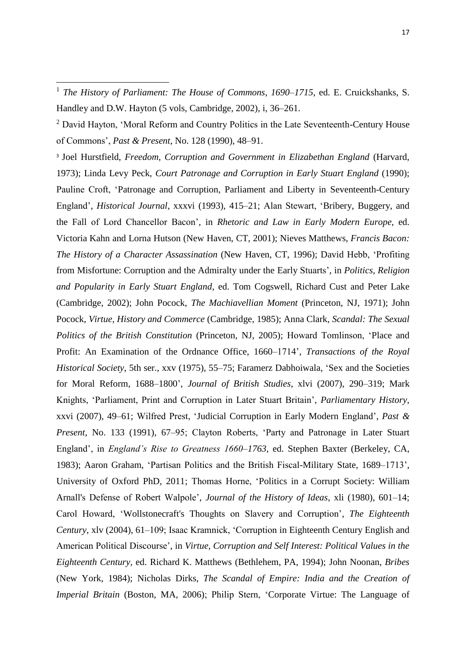<sup>3</sup> Joel Hurstfield, *Freedom, Corruption and Government in Elizabethan England* (Harvard, 1973); Linda Levy Peck, *Court Patronage and Corruption in Early Stuart England* (1990); Pauline Croft, 'Patronage and Corruption, Parliament and Liberty in Seventeenth-Century England', *Historical Journal*, xxxvi (1993), 415–21; Alan Stewart, 'Bribery, Buggery, and the Fall of Lord Chancellor Bacon', in *Rhetoric and Law in Early Modern Europe*, ed. Victoria Kahn and Lorna Hutson (New Haven, CT, 2001); Nieves Matthews, *Francis Bacon: The History of a Character Assassination* (New Haven, CT, 1996); David Hebb, 'Profiting from Misfortune: Corruption and the Admiralty under the Early Stuarts', in *Politics, Religion and Popularity in Early Stuart England*, ed. Tom Cogswell, Richard Cust and Peter Lake (Cambridge, 2002); John Pocock, *The Machiavellian Moment* (Princeton, NJ, 1971); John Pocock, *Virtue, History and Commerce* (Cambridge, 1985); Anna Clark, *Scandal: The Sexual Politics of the British Constitution* (Princeton, NJ, 2005); Howard Tomlinson, 'Place and Profit: An Examination of the Ordnance Office, 1660–1714', *Transactions of the Royal Historical Society*, 5th ser., xxv (1975), 55–75; Faramerz Dabhoiwala, 'Sex and the Societies for Moral Reform, 1688–1800', *Journal of British Studies*, xlvi (2007), 290–319; Mark Knights, 'Parliament, Print and Corruption in Later Stuart Britain', *Parliamentary History*, xxvi (2007), 49–61; Wilfred Prest, 'Judicial Corruption in Early Modern England', *Past & Present*, No. 133 (1991), 67–95; Clayton Roberts, 'Party and Patronage in Later Stuart England', in *England's Rise to Greatness 1660–1763*, ed. Stephen Baxter (Berkeley, CA, 1983); Aaron Graham, 'Partisan Politics and the British Fiscal-Military State, 1689–1713', University of Oxford PhD, 2011; Thomas Horne, 'Politics in a Corrupt Society: William Arnall's Defense of Robert Walpole', *Journal of the History of Ideas*, xli (1980), 601–14; Carol Howard, 'Wollstonecraft's Thoughts on Slavery and Corruption', *The Eighteenth Century*, xlv (2004), 61–109; Isaac Kramnick, 'Corruption in Eighteenth Century English and American Political Discourse', in *Virtue, Corruption and Self Interest: Political Values in the Eighteenth Century*, ed. Richard K. Matthews (Bethlehem, PA, 1994); John Noonan, *Bribes* (New York, 1984); Nicholas Dirks, *The Scandal of Empire: India and the Creation of Imperial Britain* (Boston, MA, 2006); Philip Stern, 'Corporate Virtue: The Language of

<sup>1</sup> *The History of Parliament: The House of Commons, 1690–1715*, ed. E. Cruickshanks, S. Handley and D.W. Hayton (5 vols, Cambridge, 2002), i, 36–261.

<sup>&</sup>lt;sup>2</sup> David Hayton, 'Moral Reform and Country Politics in the Late Seventeenth-Century House of Commons', *Past & Present*, No. 128 (1990), 48–91.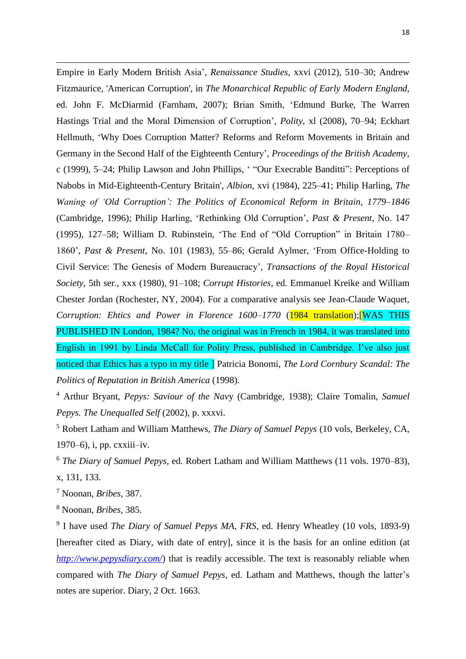Empire in Early Modern British Asia', *Renaissance Studies*, xxvi (2012), 510–30; Andrew Fitzmaurice, 'American Corruption', in *The Monarchical Republic of Early Modern England*, ed. John F. McDiarmid (Farnham, 2007); Brian Smith, 'Edmund Burke, The Warren Hastings Trial and the Moral Dimension of Corruption', *Polity*, xl (2008), 70–94; Eckhart Hellmuth, 'Why Does Corruption Matter? Reforms and Reform Movements in Britain and Germany in the Second Half of the Eighteenth Century', *Proceedings of the British Academy*, c (1999), 5–24; Philip Lawson and John Phillips, ' "Our Execrable Banditti": Perceptions of Nabobs in Mid-Eighteenth-Century Britain', *Albion*, xvi (1984), 225–41; Philip Harling, *The Waning of 'Old Corruption': The Politics of Economical Reform in Britain, 1779–1846* (Cambridge, 1996); Philip Harling, 'Rethinking Old Corruption', *Past & Present*, No. 147 (1995), 127–58; William D. Rubinstein, 'The End of "Old Corruption" in Britain 1780– 1860', *Past & Present*, No. 101 (1983), 55–86; Gerald Aylmer, 'From Office-Holding to Civil Service: The Genesis of Modern Bureaucracy', *Transactions of the Royal Historical Society*, 5th ser., xxx (1980), 91–108; *Corrupt Histories*, ed. Emmanuel Kreike and William Chester Jordan (Rochester, NY, 2004). For a comparative analysis see Jean-Claude Waquet, *Corruption: Ehtics and Power in Florence 1600–1770* (1984 translation);[WAS THIS PUBLISHED IN London, 1984? No, the original was in French in 1984, it was translated into English in 1991 by Linda McCall for Polity Press, published in Cambridge. I've also just noticed that Ethics has a typo in my title ] Patricia Bonomi, *The Lord Cornbury Scandal: The Politics of Reputation in British America* (1998).

<sup>4</sup> Arthur Bryant, *Pepys: Saviour of the Nav*y (Cambridge, 1938); Claire Tomalin, *Samuel Pepys. The Unequalled Self* (2002), p. xxxvi.

<sup>5</sup> Robert Latham and William Matthews, *The Diary of Samuel Pepys* (10 vols, Berkeley, CA, 1970–6), i, pp. cxxiii–iv.

<sup>6</sup> *The Diary of Samuel Pepys*, ed. Robert Latham and William Matthews (11 vols. 1970–83), x, 131, 133.

<sup>7</sup> Noonan, *Bribes*, 387.

1

<sup>8</sup> Noonan, *Bribes*, 385.

9 I have used *The Diary of Samuel Pepys MA, FRS*, ed. Henry Wheatley (10 vols, 1893-9) [hereafter cited as Diary, with date of entry], since it is the basis for an online edition (at *<http://www.pepysdiary.com/>*) that is readily accessible. The text is reasonably reliable when compared with *The Diary of Samuel Pepys*, ed. Latham and Matthews, though the latter's notes are superior. Diary, 2 Oct. 1663.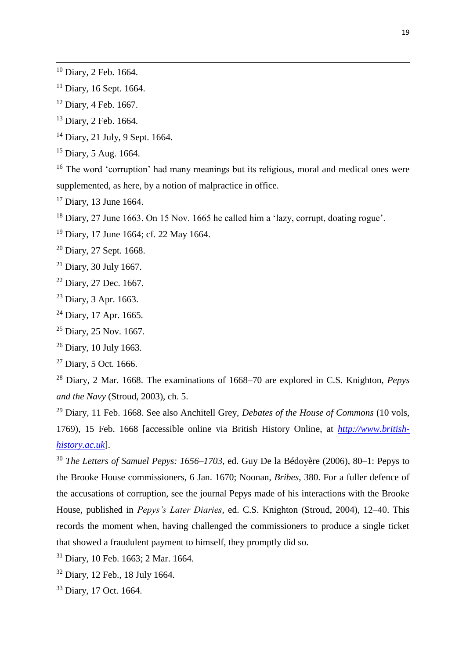- Diary, 16 Sept. 1664.
- Diary, 4 Feb. 1667.
- Diary, 2 Feb. 1664.
- Diary, 21 July, 9 Sept. 1664.
- Diary, 5 Aug. 1664.

<sup>16</sup> The word 'corruption' had many meanings but its religious, moral and medical ones were supplemented, as here, by a notion of malpractice in office.

<sup>17</sup> Diary, 13 June 1664.

Diary, 27 June 1663. On 15 Nov. 1665 he called him a 'lazy, corrupt, doating rogue'.

- Diary, 17 June 1664; cf. 22 May 1664.
- Diary, 27 Sept. 1668.
- Diary, 30 July 1667.
- Diary, 27 Dec. 1667.
- Diary, 3 Apr. 1663.
- Diary, 17 Apr. 1665.
- Diary, 25 Nov. 1667.
- Diary, 10 July 1663.
- Diary, 5 Oct. 1666.

 Diary, 2 Mar. 1668. The examinations of 1668–70 are explored in C.S. Knighton, *Pepys and the Navy* (Stroud, 2003), ch. 5.

 Diary, 11 Feb. 1668. See also Anchitell Grey, *Debates of the House of Commons* (10 vols, 1769), 15 Feb. 1668 [accessible online via British History Online, at *[http://www.british](http://www.british-history.ac.uk/)[history.ac.uk](http://www.british-history.ac.uk/)*].

 *The Letters of Samuel Pepys: 1656–1703*, ed. [Guy De la Bédoyère](http://www.google.co.uk/search?tbo=p&tbm=bks&q=inauthor:%22Guy+De+la+B%C3%A9doy%C3%A8re%22) (2006), 80–1: Pepys to the Brooke House commissioners, 6 Jan. 1670; Noonan, *Bribes*, 380. For a fuller defence of the accusations of corruption, see the journal Pepys made of his interactions with the Brooke House, published in *Pepys's Later Diaries*, ed. C.S. Knighton (Stroud, 2004), 12–40. This records the moment when, having challenged the commissioners to produce a single ticket that showed a fraudulent payment to himself, they promptly did so.

- Diary, 10 Feb. 1663; 2 Mar. 1664.
- Diary, 12 Feb., 18 July 1664.
- Diary, 17 Oct. 1664.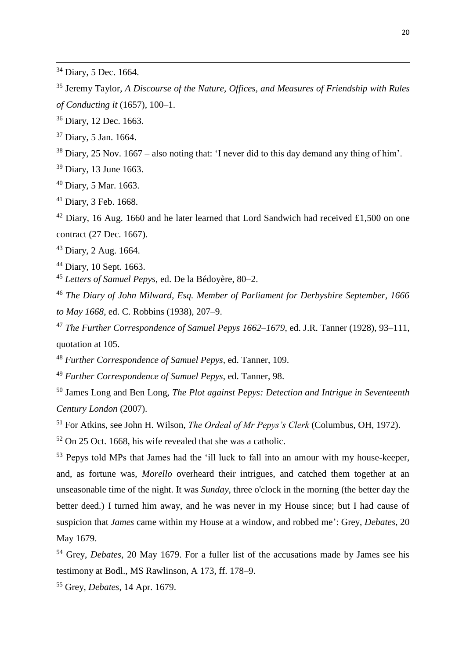Jeremy Taylor, *A Discourse of the Nature, Offices, and Measures of Friendship with Rules of Conducting it* (1657), 100–1.

Diary, 12 Dec. 1663.

Diary, 5 Jan. 1664.

Diary, 25 Nov. 1667 – also noting that: 'I never did to this day demand any thing of him'.

Diary, 13 June 1663.

Diary, 5 Mar. 1663.

Diary, 3 Feb. 1668.

 Diary, 16 Aug. 1660 and he later learned that Lord Sandwich had received £1,500 on one contract (27 Dec. 1667).

Diary, 2 Aug. 1664.

Diary, 10 Sept. 1663.

*Letters of Samuel Pepys*, ed. De la Bédoyère, 80–2.

 *The Diary of John Milward, Esq. Member of Parliament for Derbyshire September, 1666 to May 1668*, ed. C. Robbins (1938), 207–9.

 *The Further Correspondence of Samuel Pepys 1662–1679*, ed. J.R. Tanner (1928), 93–111, quotation at 105.

*Further Correspondence of Samuel Pepys*, ed. Tanner, 109.

*Further Correspondence of Samuel Pepys*, ed. Tanner, 98.

 James Long and Ben Long, *The Plot against Pepys: Detection and Intrigue in Seventeenth Century London* (2007).

For Atkins, see John H. Wilson, *The Ordeal of Mr Pepys's Clerk* (Columbus, OH, 1972).

On 25 Oct. 1668, his wife revealed that she was a catholic.

 Pepys told MPs that James had the 'ill luck to fall into an amour with my house-keeper, and, as fortune was, *Morello* overheard their intrigues, and catched them together at an unseasonable time of the night. It was *Sunday*, three o'clock in the morning (the better day the better deed.) I turned him away, and he was never in my House since; but I had cause of suspicion that *James* came within my House at a window, and robbed me': Grey, *Debates*, 20 May 1679.

 Grey, *Debates*, 20 May 1679. For a fuller list of the accusations made by James see his testimony at Bodl., MS Rawlinson, A 173, ff. 178–9.

Grey, *Debates*, 14 Apr. 1679.

Diary, 5 Dec. 1664.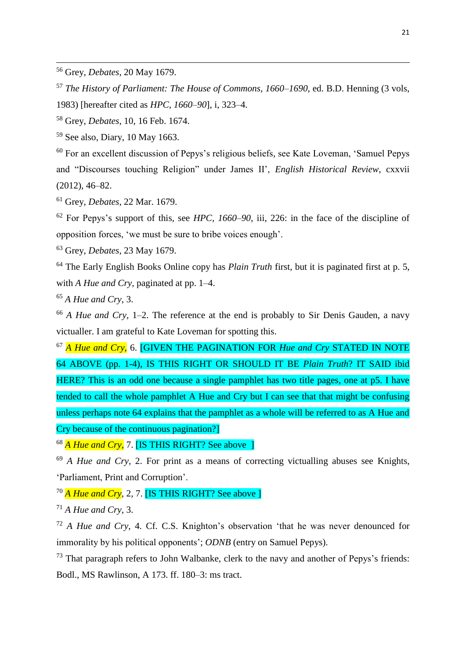<sup>58</sup> Grey, *Debates*, 10, 16 Feb. 1674.

<sup>59</sup> See also, Diary, 10 May 1663.

<sup>60</sup> For an excellent discussion of Pepys's religious beliefs, see Kate Loveman, 'Samuel Pepys and "Discourses touching Religion" under James II', *English Historical Review*, cxxvii (2012), 46–82.

<sup>61</sup> Grey, *Debates*, 22 Mar. 1679.

<sup>62</sup> For Pepys's support of this, see *HPC, 1660–90*, iii, 226: in the face of the discipline of opposition forces, 'we must be sure to bribe voices enough'.

<sup>63</sup> Grey, *Debates*, 23 May 1679.

<sup>64</sup> The Early English Books Online copy has *Plain Truth* first, but it is paginated first at p. 5, with *A Hue and Cry*, paginated at pp. 1–4.

<sup>65</sup> *A Hue and Cry*, 3.

<sup>66</sup> *A Hue and Cry*, 1–2. The reference at the end is probably to Sir Denis Gauden, a navy victualler. I am grateful to Kate Loveman for spotting this.

<sup>67</sup> *A Hue and Cry*, 6. [GIVEN THE PAGINATION FOR *Hue and Cry* STATED IN NOTE 64 ABOVE (pp. 1-4), IS THIS RIGHT OR SHOULD IT BE *Plain Truth*? IT SAID ibid HERE? This is an odd one because a single pamphlet has two title pages, one at p5. I have tended to call the whole pamphlet A Hue and Cry but I can see that that might be confusing unless perhaps note 64 explains that the pamphlet as a whole will be referred to as A Hue and Cry because of the continuous pagination?]

<sup>68</sup> *A Hue and Cry*, 7. **[IS THIS RIGHT? See above** ]

<sup>69</sup> *A Hue and Cry*, 2. For print as a means of correcting victualling abuses see Knights, 'Parliament, Print and Corruption'.

<sup>70</sup> *A Hue and Cry*, 2, 7. [IS THIS RIGHT? See above ]

<sup>71</sup> *A Hue and Cry*, 3.

<sup>72</sup> *A Hue and Cry*, 4. Cf. C.S. Knighton's observation 'that he was never denounced for immorality by his political opponents'; *ODNB* (entry on Samuel Pepys).

 $73$  That paragraph refers to John Walbanke, clerk to the navy and another of Pepys's friends: Bodl., MS Rawlinson, A 173. ff. 180–3: ms tract.

<sup>56</sup> Grey, *Debates*, 20 May 1679.

<sup>57</sup> *The History of Parliament: The House of Commons, 1660–1690*, ed. B.D. Henning (3 vols, 1983) [hereafter cited as *HPC, 1660–90*], i, 323–4.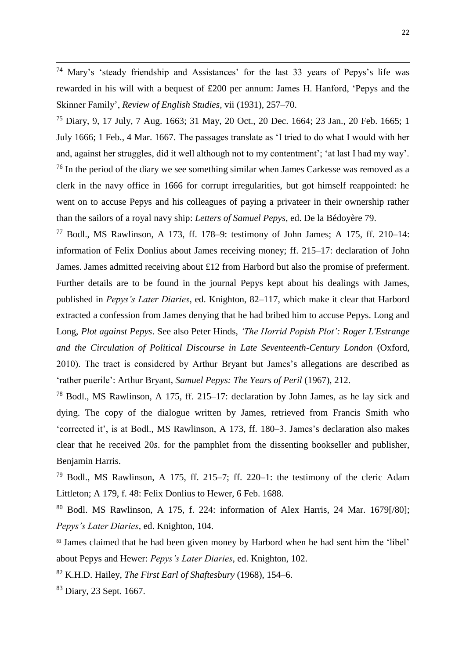<sup>74</sup> Mary's 'steady friendship and Assistances' for the last 33 years of Pepys's life was rewarded in his will with a bequest of £200 per annum: James H. Hanford, 'Pepys and the Skinner Family', *Review of English Studies*, vii (1931), 257–70.

<sup>75</sup> Diary, 9, 17 July, 7 Aug. 1663; 31 May, 20 Oct., 20 Dec. 1664; 23 Jan., 20 Feb. 1665; 1 July 1666; 1 Feb., 4 Mar. 1667. The passages translate as 'I tried to do what I would with her and, against her struggles, did it well although not to my contentment'; 'at last I had my way'.  $76$  In the period of the diary we see something similar when James Carkesse was removed as a clerk in the navy office in 1666 for corrupt irregularities, but got himself reappointed: he went on to accuse Pepys and his colleagues of paying a privateer in their ownership rather than the sailors of a royal navy ship: *Letters of Samuel Pepys*, ed. [De la Bédoyère](http://www.google.co.uk/search?tbo=p&tbm=bks&q=inauthor:%22Guy+De+la+B%C3%A9doy%C3%A8re%22) 79.

 $77$  Bodl., MS Rawlinson, A 173, ff. 178–9: testimony of John James; A 175, ff. 210–14: information of Felix Donlius about James receiving money; ff. 215–17: declaration of John James. James admitted receiving about £12 from Harbord but also the promise of preferment. Further details are to be found in the journal Pepys kept about his dealings with James, published in *Pepys's Later Diaries*, ed. Knighton, 82–117, which make it clear that Harbord extracted a confession from James denying that he had bribed him to accuse Pepys. Long and Long, *Plot against Pepys*. See also Peter Hinds, *'The Horrid Popish Plot': Roger L'Estrange and the Circulation of Political Discourse in Late Seventeenth-Century London* (Oxford, 2010). The tract is considered by Arthur Bryant but James's allegations are described as 'rather puerile': Arthur Bryant, *Samuel Pepys: The Years of Peril* (1967), 212.

<sup>78</sup> Bodl., MS Rawlinson, A 175, ff. 215–17: declaration by John James, as he lay sick and dying. The copy of the dialogue written by James, retrieved from Francis Smith who 'corrected it', is at Bodl., MS Rawlinson, A 173, ff. 180–3. James's declaration also makes clear that he received 20*s*. for the pamphlet from the dissenting bookseller and publisher, Benjamin Harris.

 $79$  Bodl., MS Rawlinson, A 175, ff. 215–7; ff. 220–1: the testimony of the cleric Adam Littleton; A 179, f. 48: Felix Donlius to Hewer, 6 Feb. 1688.

<sup>80</sup> Bodl. MS Rawlinson, A 175, f. 224: information of Alex Harris, 24 Mar. 1679[/80]; *Pepys's Later Diaries*, ed. Knighton, 104.

<sup>81</sup> James claimed that he had been given money by Harbord when he had sent him the 'libel' about Pepys and Hewer: *Pepys's Later Diaries*, ed. Knighton, 102.

<sup>82</sup> K.H.D. Hailey, *The First Earl of Shaftesbury* (1968), 154–6.

<sup>83</sup> Diary, 23 Sept. 1667.

1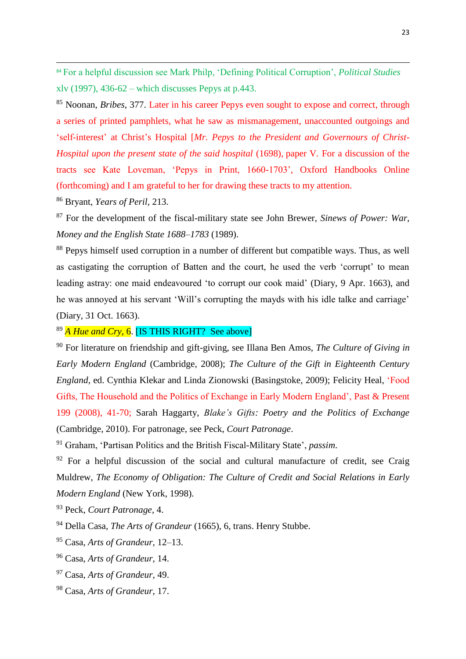<sup>84</sup> For a helpful discussion see Mark Philp, 'Defining Political Corruption', *Political Studies* xlv (1997),  $436-62$  – which discusses Pepys at p.443.

<sup>85</sup> Noonan, *Bribes*, 377. Later in his career Pepys even sought to expose and correct, through a series of printed pamphlets, what he saw as mismanagement, unaccounted outgoings and 'self-interest' at Christ's Hospital [*Mr. Pepys to the President and Governours of Christ-Hospital upon the present state of the said hospital* (1698), paper V*.* For a discussion of the tracts see Kate Loveman, 'Pepys in Print, 1660-1703', Oxford Handbooks Online (forthcoming) and I am grateful to her for drawing these tracts to my attention.

<sup>86</sup> Bryant, *Years of Peril*, 213.

1

<sup>87</sup> For the development of the fiscal-military state see John Brewer, *Sinews of Power: War, Money and the English State 1688–1783* (1989).

<sup>88</sup> Pepys himself used corruption in a number of different but compatible ways. Thus, as well as castigating the corruption of Batten and the court, he used the verb 'corrupt' to mean leading astray: one maid endeavoured 'to corrupt our cook maid' (Diary, 9 Apr. 1663), and he was annoyed at his servant 'Will's corrupting the mayds with his idle talke and carriage' (Diary, 31 Oct. 1663).

<sup>89</sup> *A Hue and Cry*, 6. [IS THIS RIGHT? See above]

<sup>90</sup> For literature on friendship and gift-giving, see Illana Ben Amos, *The Culture of Giving in Early Modern England* (Cambridge, 2008); *The Culture of the Gift in Eighteenth Century England*, ed. Cynthia Klekar and Linda Zionowski (Basingstoke, 2009); Felicity Heal, 'Food Gifts, The Household and the Politics of Exchange in Early Modern England', Past & Present 199 (2008), 41-70; Sarah Haggarty, *Blake's Gifts: Poetry and the Politics of Exchange* (Cambridge, 2010). For patronage, see Peck, *Court Patronage*.

<sup>91</sup> Graham, 'Partisan Politics and the British Fiscal-Military State', *passim*.

 $92$  For a helpful discussion of the social and cultural manufacture of credit, see Craig Muldrew, *The Economy of Obligation: The Culture of Credit and Social Relations in Early Modern England* (New York, 1998).

<sup>93</sup> Peck, *Court Patronage*, 4.

<sup>94</sup> Della Casa, *The Arts of Grandeur* (1665), 6, trans. Henry Stubbe.

<sup>95</sup> Casa, *Arts of Grandeur*, 12–13.

<sup>96</sup> Casa, *Arts of Grandeur*, 14.

<sup>97</sup> Casa, *Arts of Grandeur*, 49.

<sup>98</sup> Casa, *Arts of Grandeur*, 17.